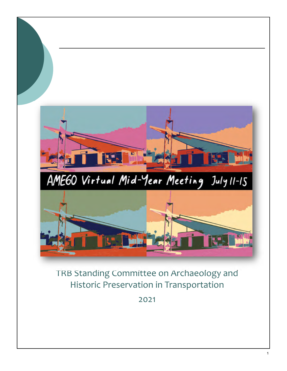

2021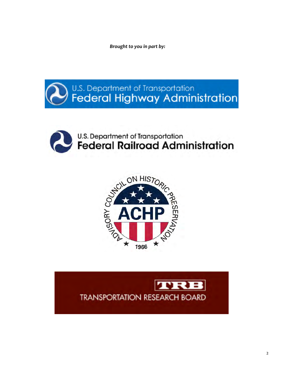*Brought to you in part by:* 







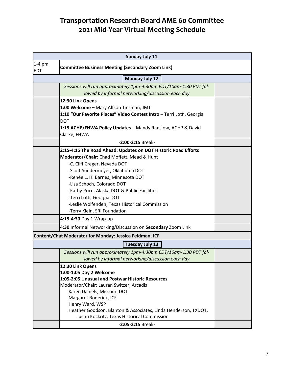| <b>Sunday July 11</b>                                   |                                                                                                                       |  |  |  |
|---------------------------------------------------------|-----------------------------------------------------------------------------------------------------------------------|--|--|--|
| $1-4$ pm<br><b>EDT</b>                                  | <b>Committee Business Meeting (Secondary Zoom Link)</b>                                                               |  |  |  |
| <b>Monday July 12</b>                                   |                                                                                                                       |  |  |  |
|                                                         | Sessions will run approximately 1pm-4:30pm EDT/10am-1:30 PDT fol-<br>lowed by informal networking/discussion each day |  |  |  |
|                                                         | 12:30 Link Opens                                                                                                      |  |  |  |
|                                                         | 1:00 Welcome - Mary Alfson Tinsman, JMT                                                                               |  |  |  |
|                                                         | 1:10 "Our Favorite Places" Video Contest Intro - Terri Lotti, Georgia                                                 |  |  |  |
|                                                         | <b>DOT</b>                                                                                                            |  |  |  |
|                                                         | 1:15 ACHP/FHWA Policy Updates - Mandy Ranslow, ACHP & David                                                           |  |  |  |
|                                                         | Clarke, FHWA                                                                                                          |  |  |  |
| -2:00-2:15 Break-                                       |                                                                                                                       |  |  |  |
|                                                         | 2:15-4:15 The Road Ahead: Updates on DOT Historic Road Efforts                                                        |  |  |  |
|                                                         | Moderator/Chair: Chad Moffett, Mead & Hunt                                                                            |  |  |  |
|                                                         | -C. Cliff Creger, Nevada DOT                                                                                          |  |  |  |
|                                                         | -Scott Sundermeyer, Oklahoma DOT                                                                                      |  |  |  |
|                                                         | -Renée L. H. Barnes, Minnesota DOT                                                                                    |  |  |  |
|                                                         | -Lisa Schoch, Colorado DOT                                                                                            |  |  |  |
|                                                         | -Kathy Price, Alaska DOT & Public Facilities                                                                          |  |  |  |
|                                                         | -Terri Lotti, Georgia DOT                                                                                             |  |  |  |
|                                                         | -Leslie Wolfenden, Texas Historical Commission                                                                        |  |  |  |
|                                                         | -Terry Klein, SRI Foundation                                                                                          |  |  |  |
|                                                         | 4:15-4:30 Day 1 Wrap-up                                                                                               |  |  |  |
|                                                         | 4:30 Informal Networking/Discussion on Secondary Zoom Link                                                            |  |  |  |
| Content/Chat Moderator for Monday: Jessica Feldman, ICF |                                                                                                                       |  |  |  |
| <b>Tuesday July 13</b>                                  |                                                                                                                       |  |  |  |
|                                                         | Sessions will run approximately 1pm-4:30pm EDT/10am-1:30 PDT fol-                                                     |  |  |  |
|                                                         | lowed by informal networking/discussion each day                                                                      |  |  |  |
|                                                         | 12:30 Link Opens                                                                                                      |  |  |  |
|                                                         | 1:00-1:05 Day 2 Welcome                                                                                               |  |  |  |
|                                                         | 1:05-2:05 Unusual and Postwar Historic Resources                                                                      |  |  |  |
|                                                         | Moderator/Chair: Lauran Switzer, Arcadis                                                                              |  |  |  |
|                                                         | Karen Daniels, Missouri DOT                                                                                           |  |  |  |
|                                                         | Margaret Roderick, ICF<br>Henry Ward, WSP                                                                             |  |  |  |
|                                                         | Heather Goodson, Blanton & Associates, Linda Henderson, TXDOT,                                                        |  |  |  |
|                                                         | Justin Kockritz, Texas Historical Commission                                                                          |  |  |  |
|                                                         | -2:05-2:15 Break-                                                                                                     |  |  |  |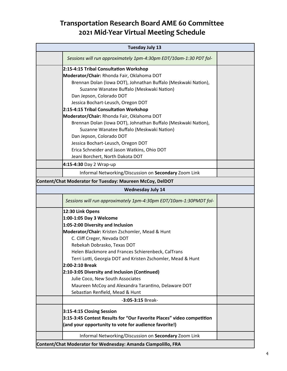| <b>Tuesday July 13</b>                                        |                                                                                                                                                                                                                                                                                                                                                                                                                                                                                                                                                                                                                                                                                                              |  |  |
|---------------------------------------------------------------|--------------------------------------------------------------------------------------------------------------------------------------------------------------------------------------------------------------------------------------------------------------------------------------------------------------------------------------------------------------------------------------------------------------------------------------------------------------------------------------------------------------------------------------------------------------------------------------------------------------------------------------------------------------------------------------------------------------|--|--|
|                                                               | Sessions will run approximately 1pm-4:30pm EDT/10am-1:30 PDT fol-                                                                                                                                                                                                                                                                                                                                                                                                                                                                                                                                                                                                                                            |  |  |
|                                                               | 2:15-4:15 Tribal Consultation Workshop<br>Moderator/Chair: Rhonda Fair, Oklahoma DOT<br>Brennan Dolan (Iowa DOT), Johnathan Buffalo (Meskwaki Nation),<br>Suzanne Wanatee Buffalo (Meskwaki Nation)<br>Dan Jepson, Colorado DOT<br>Jessica Bochart-Leusch, Oregon DOT<br>2:15-4:15 Tribal Consultation Workshop<br>Moderator/Chair: Rhonda Fair, Oklahoma DOT<br>Brennan Dolan (Iowa DOT), Johnathan Buffalo (Meskwaki Nation),<br>Suzanne Wanatee Buffalo (Meskwaki Nation)<br>Dan Jepson, Colorado DOT<br>Jessica Bochart-Leusch, Oregon DOT<br>Erica Schneider and Jason Watkins, Ohio DOT<br>Jeani Borchert, North Dakota DOT                                                                            |  |  |
|                                                               | 4:15-4:30 Day 2 Wrap-up                                                                                                                                                                                                                                                                                                                                                                                                                                                                                                                                                                                                                                                                                      |  |  |
|                                                               | Informal Networking/Discussion on Secondary Zoom Link                                                                                                                                                                                                                                                                                                                                                                                                                                                                                                                                                                                                                                                        |  |  |
| Content/Chat Moderator for Tuesday: Maureen McCoy, DelDOT     |                                                                                                                                                                                                                                                                                                                                                                                                                                                                                                                                                                                                                                                                                                              |  |  |
| <b>Wednesday July 14</b>                                      |                                                                                                                                                                                                                                                                                                                                                                                                                                                                                                                                                                                                                                                                                                              |  |  |
|                                                               | Sessions will run approximately 1pm-4:30pm EDT/10am-1:30PMDT fol-                                                                                                                                                                                                                                                                                                                                                                                                                                                                                                                                                                                                                                            |  |  |
|                                                               | 12:30 Link Opens<br>1:00-1:05 Day 3 Welcome<br>1:05-2:00 Diversity and Inclusion<br>Moderator/Chair: Kristen Zschomler, Mead & Hunt<br>C. Cliff Creger, Nevada DOT<br>Rebekah Dobrasko, Texas DOT<br>Helen Blackmore and Frances Schierenbeck. CalTrans<br>Terri Lotti, Georgia DOT and Kristen Zschomler, Mead & Hunt<br>2:00-2:10 Break<br>2:10-3:05 Diversity and Inclusion (Continued)<br>Julie Coco, New South Associates<br>Maureen McCoy and Alexandra Tarantino, Delaware DOT<br>Sebastian Renfield, Mead & Hunt<br>-3:05-3:15 Break-<br>3:15-4:15 Closing Session<br>3:15-3:45 Contest Results for "Our Favorite Places" video competition<br>(and your opportunity to vote for audience favorite!) |  |  |
| Informal Networking/Discussion on Secondary Zoom Link         |                                                                                                                                                                                                                                                                                                                                                                                                                                                                                                                                                                                                                                                                                                              |  |  |
| Content/Chat Moderator for Wednesday: Amanda Ciampolillo, FRA |                                                                                                                                                                                                                                                                                                                                                                                                                                                                                                                                                                                                                                                                                                              |  |  |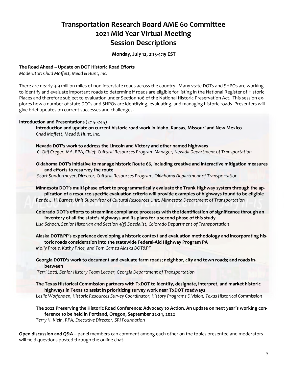**Monday, July 12, 2:15‐4:15 EST** 

#### **The Road Ahead – Update on DOT Historic Road Efforts**

*Moderator: Chad Moffett, Mead & Hunt, Inc.* 

There are nearly 3.9 million miles of non-interstate roads across the country. Many state DOTs and SHPOs are working to identify and evaluate important roads to determine if roads are eligible for listing in the National Register of Historic Places and therefore subject to evaluation under Section 106 of the National Historic Preservation Act. This session ex‐ plores how a number of state DOTs and SHPOs are identifying, evaluating, and managing historic roads. Presenters will give brief updates on current successes and challenges.

#### **Introduction and Presentations** (2:15‐3:45)

**Introduction and update on current historic road work in Idaho, Kansas, Missouri and New Mexico**  *Chad Moffett, Mead & Hunt, Inc.* 

**Nevada DOT's work to address the Lincoln and Victory and other named highways** *C. Cliff Creger, MA, RPA, Chief, Cultural Resources Program Manager, Nevada Department of Transportation*

**Oklahoma DOT's initiative to manage historic Route 66, including creative and interactive mitigation measures and efforts to resurvey the route**

 *Scott Sundermeyer, Director, Cultural Resources Program, Oklahoma Department of Transportation*

 **Minnesota DOT's multi‐phase effort to programmatically evaluate the Trunk Highway system through the ap‐ plication of a resource‐specific evaluation criteria will provide examples of highways found to be eligible**  *Renée L. H. Barnes, Unit Supervisor of Cultural Resources Unit, Minnesota Department of Transportation*

**Colorado DOT's efforts to streamline compliance processes with the identification of significance through an inventory of all the state's highways and its plans for a second phase of this study**  *Lisa Schoch, Senior Historian and Section 4(f) Specialist, Colorado Department of Transportation*

**Alaska DOT&PF's experience developing a historic context and evaluation methodology and incorporating his‐ toric roads consideration into the statewide Federal‐Aid Highway Program PA** *Molly Proue, Kathy Price, and Tom Gamza Alaska DOT&PF*

**Georgia DOTD's work to document and evaluate farm roads; neighbor, city and town roads; and roads in‐ between** 

 *Terri Lotti, Senior History Team Leader, Georgia Department of Transportation*

**The Texas Historical Commission partners with TxDOT to identify, designate, interpret, and market historic highways in Texas to assist in prioritizing survey work near TxDOT roadways**

*Leslie Wolfenden, Historic Resources Survey Coordinator, History Programs Division, Texas Historical Commission*

**The 2022 Preserving the Historic Road Conference: Advocacy to Action. An update on next year's working con‐ ference to be held in Portland, Oregon, September 22‐24, 2022**

*Terry H. Klein, RPA, Executive Director, SRI Foundation* 

**Open discussion and Q&A** – panel members can comment among each other on the topics presented and moderators will field questions posted through the online chat.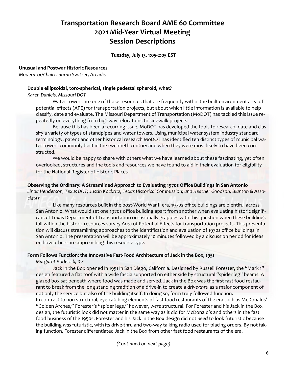**Tuesday, July 13, 1:05‐2:05 EST** 

#### **Unusual and Postwar Historic Resources**

*Moderator/Chair: Lauran Switzer, Arcadis* 

#### **Double ellipsoidal, toro‐spherical, single pedestal spheroid, what?**

*Karen Daniels, Missouri DOT* 

Water towers are one of those resources that are frequently within the built environment area of potential effects (APE) for transportation projects, but about which little information is available to help classify, date and evaluate. The Missouri Department of Transportation (MoDOT) has tackled this issue re‐ peatedly on everything from highway relocations to sidewalk projects.

Because this has been a recurring issue, MoDOT has developed the tools to research, date and clas‐ sify a variety of types of standpipes and water towers. Using municipal water system industry standard terminology, patent and other historical research MoDOT has identified ten distinct types of municipal wa‐ ter towers commonly built in the twentieth century and when they were most likely to have been constructed.

We would be happy to share with others what we have learned about these fascinating, yet often overlooked, structures and the tools and resources we have found to aid in their evaluation for eligibility for the National Register of Historic Places.

#### **Observing the Ordinary: A Streamlined Approach to Evaluating 1970s Office Buildings in San Antonio**

*Linda Henderson, Texas DOT; Justin Kockritz, Texas Historical Commission; and Heather Goodson, Blanton & Asso‐ ciates* 

Like many resources built in the post‐World War II era, 1970s office buildings are plentiful across San Antonio. What would set one 1970s office building apart from another when evaluating historic signifi‐ cance? Texas Department of Transportation occasionally grapples with this question when these buildings fall within the historic resources survey Area of Potential Effects for transportation projects. This presenta‐ tion will discuss streamlining approaches to the identification and evaluation of 1970s office buildings in San Antonio. The presentation will be approximately 10 minutes followed by a discussion period for ideas on how others are approaching this resource type.

#### Form Follows Function: the Innovative Fast-Food Architecture of Jack in the Box, 1951

*Margaret Roderick, ICF* 

Jack in the Box opened in 1951 in San Diego, California. Designed by Russell Forester, the "Mark 1" design featured a flat roof with a wide fascia supported on either side by structural "spider leg" beams. A glazed box sat beneath where food was made and served. Jack in the Box was the first fast food restaurant to break from the long standing tradition of a drive‐in to create a *drive‐thru* as a major component of not only the service but also of the building itself. In doing so, form truly followed function. In contrast to non-structural, eye-catching elements of fast food restaurants of the era such as McDonalds' "Golden Arches," Forester's "spider legs," however, *were* structural. For Forester and his Jack in the Box design, the futuristic look did not matter in the same way as it did for McDonald's and others in the fast food business of the 1950s. Forester and his Jack in the Box design did not *need* to look futuristic because the building *was* futuristic, with its drive‐thru and two‐way talking radio used for placing orders. By not fak‐ ing function, Forester differentiated Jack in the Box from other fast food restaurants of the era.

*(Continued on next page)*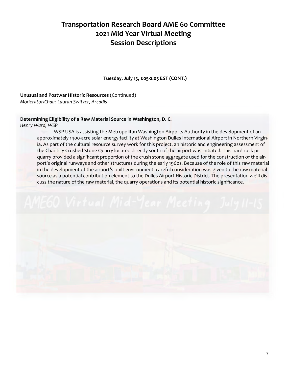**Tuesday, July 13, 1:05‐2:05 EST (CONT.)** 

#### **Unusual and Postwar Historic Resources** (Continued)

*Moderator/Chair: Lauran Switzer, Arcadis*

### **Determining Eligibility of a Raw Material Source in Washington, D. C.**

*Henry Ward, WSP* 

WSP USA is assisting the Metropolitan Washington Airports Authority in the development of an approximately 1400-acre solar energy facility at Washington Dulles International Airport in Northern Virginia. As part of the cultural resource survey work for this project, an historic and engineering assessment of the Chantilly Crushed Stone Quarry located directly south of the airport was initiated. This hard rock pit quarry provided a significant proportion of the crush stone aggregate used for the construction of the air‐ port's original runways and other structures during the early 1960s. Because of the role of this raw material in the development of the airport's‐built environment, careful consideration was given to the raw material source as a potential contribution element to the Dulles Airport Historic District. The presentation we'll dis‐ cuss the nature of the raw material, the quarry operations and its potential historic significance.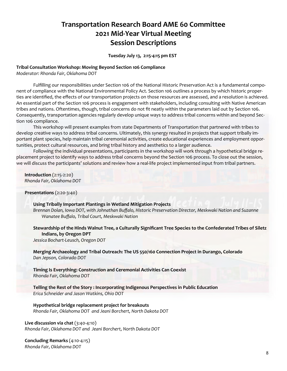#### **Tuesday July 13, 2:15‐4:15 pm EST**

#### **Tribal Consultation Workshop: Moving Beyond Section 106 Compliance**

*Moderator: Rhonda Fair, Oklahoma DOT* 

Fulfilling our responsibilities under Section 106 of the National Historic Preservation Act is a fundamental compo‐ nent of compliance with the National Environmental Policy Act. Section 106 outlines a process by which historic proper‐ ties are identified, the effects of our transportation projects on those resources are assessed, and a resolution is achieved. An essential part of the Section 106 process is engagement with stakeholders, including consulting with Native American tribes and nations. Oftentimes, though, tribal concerns do not fit neatly within the parameters laid out by Section 106. Consequently, transportation agencies regularly develop unique ways to address tribal concerns within and beyond Sec‐ tion 106 compliance.

This workshop will present examples from state Departments of Transportation that partnered with tribes to develop creative ways to address tribal concerns. Ultimately, this synergy resulted in projects that support tribally im‐ portant plant species, help maintain tribal ceremonial activities, create educational experiences and employment opportunities, protect cultural resources, and bring tribal history and aesthetics to a larger audience.

Following the individual presentations, participants in the workshop will work through a hypothetical bridge re‐ placement project to identify ways to address tribal concerns beyond the Section 106 process. To close out the session, we will discuss the participants' solutions and review how a real-life project implemented input from tribal partners.

**Introduction** (2:15‐2:20) *Rhonda Fair, Oklahoma DOT* 

**Presentations** (2:20‐3:40)

#### **Using Tribally Important Plantings in Wetland Mitigation Projects**

*Brennan Dolan, Iowa DOT, with Johnathan Buffalo, Historic Preservation Director, Meskwaki Nation and Suzanne Wanatee Buffalo, Tribal Court, Meskwaki Nation* 

#### **Stewardship of the Hinds Walnut Tree, a Culturally Significant Tree Species to the Confederated Tribes of Siletz Indians, by Oregon DPT**

*Jessica Bochart‐Leusch, Oregon DOT* 

**Merging Archaeology and Tribal Outreach: The US 550/160 Connection Project in Durango, Colorado**  *Dan Jepson, Colorado DOT* 

**Timing Is Everything: Construction and Ceremonial Activities Can Coexist**  *Rhonda Fair, Oklahoma DOT* 

**Telling the Rest of the Story : Incorporating Indigenous Perspectives in Public Education**  *Erica Schneider and Jason Watkins, Ohio DOT* 

#### **Hypothetical bridge replacement project for breakouts**

*Rhonda Fair, Oklahoma DOT and Jeani Borchert, North Dakota DOT* 

#### **Live discussion via chat** (3:40‐4:10)

*Rhonda Fair, Oklahoma DOT and Jeani Borchert, North Dakota DOT* 

**Concluding Remarks** (4:10‐4:15) *Rhonda Fair, Oklahoma DOT*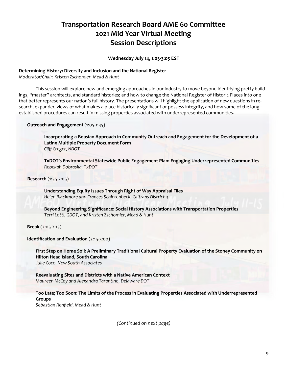**Wednesday July 14, 1:05‐3:05 EST** 

#### **Determining History: Diversity and Inclusion and the National Register**

*Moderator/Chair: Kristen Zschomler, Mead & Hunt*

This session will explore new and emerging approaches in our industry to move beyond identifying pretty build‐ ings, "master" architects, and standard histories; and how to change the National Register of Historic Places into one that better represents our nation's full history. The presentations will highlight the application of new questions in re‐ search, expanded views of what makes a place historically significant or possess integrity, and how some of the longestablished procedures can result in missing properties associated with underrepresented communities.

**Outreach and Engagement** (1:05‐1:35)

**Incorporating a Boasian Approach in Community Outreach and Engagement for the Development of a Latinx Multiple Property Document Form**  *Cliff Creger, NDOT* 

**TxDOT's Environmental Statewide Public Engagement Plan: Engaging Underrepresented Communities** *Rebekah Dobraska, TxDOT*

 **Research** (1:35‐2:05)

**Understanding Equity Issues Through Right of Way Appraisal Files**  *Helen Blackmore and Frances Schierenbeck, Caltrans District 4* 

 **Beyond Engineering Significance: Social History Associations with Transportation Properties**  *Terri Lotti, GDOT, and Kristen Zschomler, Mead & Hunt* 

**Break** (2:05‐2:15)

**Identification and Evaluation** (2:15‐3:00)

 **First Step on Home Soil: A Preliminary Traditional Cultural Property Evaluation of the Stoney Community on Hilton Head Island, South Carolina**  *Julie Coco, New South Associates*

**Reevaluating Sites and Districts with a Native American Context**  *Maureen McCoy and Alexandra Tarantino, Delaware DOT* 

 **Too Late; Too Soon: The Limits of the Process in Evaluating Properties Associated with Underrepresented Groups**  *Sebastian Renfield, Mead & Hunt* 

*(Continued on next page)*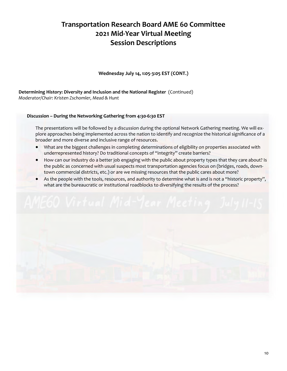**Wednesday July 14, 1:05‐3:05 EST (CONT.)** 

**Determining History: Diversity and Inclusion and the National Register** (Continued) *Moderator/Chair: Kristen Zschomler, Mead & Hunt*

### **Discussion – During the Networking Gathering from 4:30‐6:30 EST**

The presentations will be followed by a discussion during the optional Network Gathering meeting. We will ex‐ plore approaches being implemented across the nation to identify and recognize the historical significance of a broader and more diverse and inclusive range of resources.

- What are the biggest challenges in completing determinations of eligibility on properties associated with underrepresented history? Do traditional concepts of "integrity" create barriers?
- How can our industry do a better job engaging with the public about property types that they care about? Is the public as concerned with usual suspects most transportation agencies focus on (bridges, roads, downtown commercial districts, etc.) or are we missing resources that the public cares about more?
- As the people with the tools, resources, and authority to determine what is and is not a "historic property", what are the bureaucratic or institutional roadblocks to diversifying the results of the process?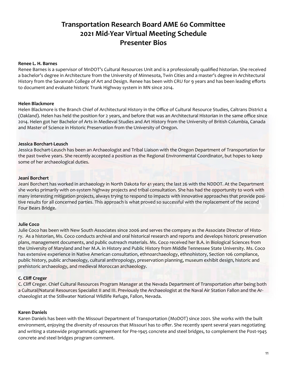#### **Renee L. H. Barnes**

Renee Barnes is a supervisor of MnDOT's Cultural Resources Unit and is a professionally qualified historian. She received a bachelor's degree in Architecture from the University of Minnesota, Twin Cities and a master's degree in Architectural History from the Savannah College of Art and Design. Renee has been with CRU for 9 years and has been leading efforts to document and evaluate historic Trunk Highway system in MN since 2014.

#### **Helen Blackmore**

Helen Blackmore is the Branch Chief of Architectural History in the Office of Cultural Resource Studies, Caltrans District 4 (Oakland). Helen has held the position for 2 years, and before that was an Architectural Historian in the same office since 2014. Helen got her Bachelor of Arts in Medieval Studies and Art History from the University of British Columbia, Canada and Master of Science in Historic Preservation from the University of Oregon.

#### **Jessica Borchart‐Leusch**

Jessica Bochart‐Leusch has been an Archaeologist and Tribal Liaison with the Oregon Department of Transportation for the past twelve years. She recently accepted a position as the Regional Environmental Coordinator, but hopes to keep some of her archaeological duties.

#### **Jeani Borchert**

Jeani Borchert has worked in archaeology in North Dakota for 41 years; the last 26 with the NDDOT. At the Department she works primarily with on‐system highway projects and tribal consultation. She has had the opportunity to work with many interesting mitigation projects, always trying to respond to impacts with innovative approaches that provide posi‐ tive results for all concerned parties. This approach is what proved so successful with the replacement of the second Four Bears Bridge.

#### **Julie Coco**

Julie Coco has been with New South Associates since 2006 and serves the company as the Associate Director of History. As a historian, Ms. Coco conducts archival and oral historical research and reports and develops historic preservation plans, management documents, and public outreach materials. Ms. Coco received her B.A. in Biological Sciences from the University of Maryland and her M.A. in History and Public History from Middle Tennessee State University. Ms. Coco has extensive experience in Native American consultation, ethnoarchaeology, ethnohistory, Section 106 compliance, public history, public archaeology, cultural anthropology, preservation planning, museum exhibit design, historic and prehistoric archaeology, and medieval Moroccan archaeology.

#### **C. Cliff Creger**

C. Cliff Creger. Chief Cultural Resources Program Manager at the Nevada Department of Transportation after being both a Cultural/Natural Resources Specialist II and III. Previously the Archaeologist at the Naval Air Station Fallon and the Ar‐ chaeologist at the Stillwater National Wildlife Refuge, Fallon, Nevada.

#### **Karen Daniels**

Karen Daniels has been with the Missouri Department of Transportation (MoDOT) since 2001. She works with the built environment, enjoying the diversity of resources that Missouri has to offer. She recently spent several years negotiating and writing a statewide programmatic agreement for Pre‐1945 concrete and steel bridges, to complement the Post‐1945 concrete and steel bridges program comment.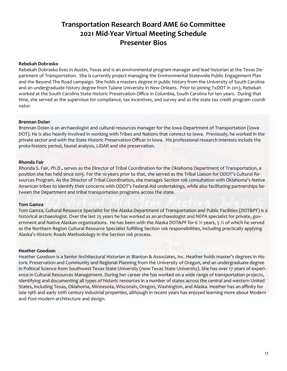#### **Rebekah Dobrasko**

Rebekah Dobrasko lives in Austin, Texas and is an environmental program manager and lead historian at the Texas De‐ partment of Transportation. She is currently project managing the Environmental Statewide Public Engagement Plan and the Beyond The Road campaign. She holds a masters degree in public history from the University of South Carolina and an undergraduate history degree from Tulane University in New Orleans. Prior to joining TxDOT in 2013, Rebekah worked at the South Carolina State Historic Preservation Office in Columbia, South Carolina for ten years. During that time, she served as the supervisor for compliance, tax incentives, and survey and as the state tax credit program coordinator.

#### **Brennan Dolan**

Brennan Dolan is an archaeologist and cultural resources manager for the Iowa Department of Transportation (Iowa DOT). He is also heavily involved in working with Tribes and Nations that connect to Iowa. Previously, he worked in the private sector and with the State Historic Preservation Officer in Iowa. His professional research interests include the proto‐historic period, faunal analysis, LiDAR and site preservation.

#### **Rhonda Fair**

Rhonda S. Fair, Ph.D., serves as the Director of Tribal Coordination for the Oklahoma Department of Transportation, a position she has held since 2015. For the 10 years prior to that, she served as the Tribal Liaison for ODOT's Cultural Re‐ sources Program. As the Director of Tribal Coordination, she manages Section 106 consultation with Oklahoma's Native American tribes to identify their concerns with ODOT's Federal‐Aid undertakings, while also facilitating partnerships be‐ tween the Department and tribal transportation programs across the state.

#### **Tom Gamza**

Tom Gamza, Cultural Resource Specialist for the Alaska Department of Transportation and Public Facilities (DOT&PF) is a historical archaeologist. Over the last 25 years he has worked as an archaeologist and NEPA specialist for private, government and Native Alaskan organizations. He has been with the Alaska DOT&PF for 6  $\frac{1}{2}$  years, 5  $\frac{1}{2}$  of which he served as the Northern Region Cultural Resource Specialist fulfilling Section 106 responsibilities, including practically applying Alaska's Historic Roads Methodology in the Section 106 process.

#### **Heather Goodson**

Heather Goodson is a Senior Architectural Historian at Blanton & Associates, Inc. Heather holds master's degrees in His‐ toric Preservation and Community and Regional Planning from the University of Oregon, and an undergraduate degree in Political Science from Southwest Texas State University (now Texas State University). She has over 17 years of experi‐ ence in Cultural Resources Management. During her career she has worked on a wide range of transportation projects, identifying and documenting all types of historic resources in a number of states across the central and western United States, including Texas, Oklahoma, Minnesota, Wisconsin, Oregon, Washington, and Alaska. Heather has an affinity for late 19th and early 20th century industrial properties, although in recent years has enjoyed learning more about Modern and Post‐modern architecture and design.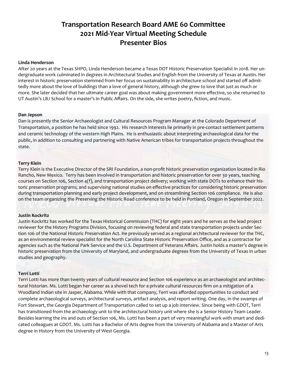#### **Linda Henderson**

After 20 years at the Texas SHPO, Linda Henderson became a Texas DOT Historic Preservation Specialist in 2018. Her un‐ dergraduate work culminated in degrees in Architectural Studies and English from the University of Texas at Austin. Her interest in historic preservation stemmed from her focus on sustainability in architecture school and started off admittedly more about the love of buildings than a love of general history, although she grew to love that just as much or more. She later decided that her ultimate career goal was about making government more effective, so she returned to UT Austin's LBJ School for a master's in Public Affairs. On the side, she writes poetry, fiction, and music.

#### **Dan Jepson**

Dan is presently the Senior Archaeologist and Cultural Resources Program Manager at the Colorado Department of Transportation, a position he has held since 1992. His research interests lie primarily in pre‐contact settlement patterns and ceramic technology of the western High Plains. He is enthusiastic about interpreting archaeological data for the public, in addition to consulting and partnering with Native American tribes for transportation projects throughout the state.

#### **Terry Klein**

Terry Klein is the Executive Director of the SRI Foundation, a non‐profit historic preservation organization located in Rio Rancho, New Mexico. Terry has been involved in transportation and historic preservation for over 30 years, teaching courses on Section 106, Section 4(f), and transportation project delivery; working with state DOTs to enhance their his‐ toric preservation programs; and supervising national studies on effective practices for considering historic preservation during transportation planning and early project development, and on streamlining Section 106 compliance. He is also on the team organizing the Preserving the Historic Road conference to be held in Portland, Oregon in September 2022.

#### **Justin Kockritz**

Justin Kockritz has worked for the Texas Historical Commission (THC) for eight years and he serves as the lead project reviewer for the History Programs Division, focusing on reviewing federal and state transportation projects under Sec‐ tion 106 of the National Historic Preservation Act. He previously served as a regional architectural reviewer for the THC, as an environmental review specialist for the North Carolina State Historic Preservation Office, and as a contractor for agencies such as the National Park Service and the U.S. Department of Veterans Affairs. Justin holds a master's degree in historic preservation from the University of Maryland, and undergraduate degrees from the University of Texas in urban studies and geography.

#### **Terri Lotti**

Terri Lotti has more than twenty years of cultural resource and Section 106 experience as an archaeologist and architec‐ tural historian. Ms. Lotti began her career as a shovel tech for a private cultural resources firm on a mitigation of a Woodland Indian site in Jasper, Alabama. While with that company, Terri was afforded opportunities to conduct and complete archaeological surveys, architectural surveys, artifact analysis, and report writing. One day, in the swamps of Fort Stewart, the Georgia Department of Transportation called to set up a job interview. Since being with GDOT, Terri has transitioned from the archaeology unit to the architectural history unit where she is a Senior History Team Leader. Besides learning the ins and outs of Section 106, Ms. Lotti has been a part of very meaningful work with smart and dedi‐ cated colleagues at GDOT. Ms. Lotti has a Bachelor of Arts degree from the University of Alabama and a Master of Arts degree in History from the University of West Georgia.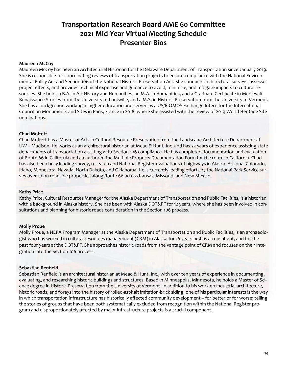#### **Maureen McCoy**

Maureen McCoy has been an Architectural Historian for the Delaware Department of Transportation since January 2019. She is responsible for coordinating reviews of transportation projects to ensure compliance with the National Environ‐ mental Policy Act and Section 106 of the National Historic Preservation Act. She conducts architectural surveys, assesses project effects, and provides technical expertise and guidance to avoid, minimize, and mitigate impacts to cultural re‐ sources. She holds a B.A. in Art History and Humanities, an M.A. in Humanities, and a Graduate Certificate in Medieval/ Renaissance Studies from the University of Louisville, and a M.S. in Historic Preservation from the University of Vermont. She has a background working in higher education and served as a US/ICOMOS Exchange Intern for the International Council on Monuments and Sites in Paris, France in 2018, where she assisted with the review of 2019 World Heritage Site nominations.

#### **Chad Moffett**

Chad Moffett has a Master of Arts in Cultural Resource Preservation from the Landscape Architecture Department at UW – Madison. He works as an architectural historian at Mead & Hunt, Inc. and has 22 years of experience assisting state departments of transportation assisting with Section 106 compliance. He has completed documentation and evaluation of Route 66 in California and co-authored the Multiple Property Documentation Form for the route in California. Chad has also been busy leading survey, research and National Register evaluations of highways in Alaska, Arizona, Colorado, Idaho, Minnesota, Nevada, North Dakota, and Oklahoma. He is currently leading efforts by the National Park Service survey over 1,000 roadside properties along Route 66 across Kansas, Missouri, and New Mexico.

#### **Kathy Price**

Kathy Price, Cultural Resources Manager for the Alaska Department of Transportation and Public Facilities, is a historian with a background in Alaska history. She has been with Alaska DOT&PF for 12 years, where she has been involved in consultations and planning for historic roads consideration in the Section 106 process.

#### **Molly Proue**

Molly Proue, a NEPA Program Manager at the Alaska Department of Transportation and Public Facilities, is an archaeolo‐ gist who has worked in cultural resources management (CRM) in Alaska for 16 years first as a consultant, and for the past four years at the DOT&PF. She approaches historic roads from the vantage point of CRM and focuses on their integration into the Section 106 process.

#### **Sebastian Renfield**

Sebastian Renfield is an architectural historian at Mead & Hunt, Inc., with over ten years of experience in documenting, evaluating, and researching historic buildings and structures. Based in Minneapolis, Minnesota, he holds a Master of Science degree in Historic Preservation from the University of Vermont. In addition to his work on industrial architecture, historic roads, and forays into the history of rolled‐asphalt imitation‐brick siding, one of his particular interests is the way in which transportation infrastructure has historically affected community development – for better or for worse; telling the stories of groups that have been both systematically excluded from recognition within the National Register program and disproportionately affected by major infrastructure projects is a crucial component.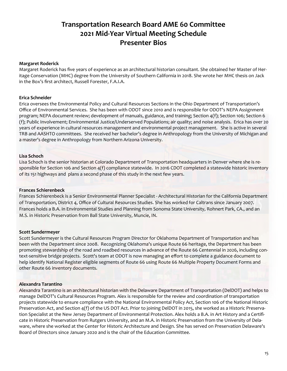#### **Margaret Roderick**

Margaret Roderick has five years of experience as an architectural historian consultant. She obtained her Master of Her‐ itage Conservation (MHC) degree from the University of Southern California in 2018. She wrote her MHC thesis on Jack in the Box's first architect, Russell Forester, F.A.I.A.

#### **Erica Schneider**

Erica oversees the Environmental Policy and Cultural Resources Sections in the Ohio Department of Transportation's Office of Environmental Services. She has been with ODOT since 2010 and is responsible for ODOT's NEPA Assignment program; NEPA document review; development of manuals, guidance, and training; Section 4(f); Section 106; Section 6 (f); Public Involvement; Environmental Justice/Underserved Populations; air quality; and noise analysis. Erica has over 20 years of experience in cultural resources management and environmental project management. She is active in several TRB and AASHTO committees. She received her bachelor's degree in Anthropology from the University of Michigan and a master's degree in Anthropology from Northern Arizona University.

#### **Lisa Schoch**

Lisa Schoch is the senior historian at Colorado Department of Transportation headquarters in Denver where she is re‐ sponsible for Section 106 and Section 4(f) compliance statewide. In 2016 CDOT completed a statewide historic inventory of its 151 highways and plans a second phase of this study in the next few years.

#### **Frances Schierenbeck**

Frances Schierenbeck is a Senior Environmental Planner Specialist ‐ Architectural Historian for the California Department of Transportation, District 4, Office of Cultural Resources Studies. She has worked for Caltrans since January 2007. Frances holds a B.A. in Environmental Studies and Planning from Sonoma State University, Rohnert Park, CA., and an M.S. in Historic Preservation from Ball State University, Muncie, IN.

#### **Scott Sundermeyer**

Scott Sundermeyer is the Cultural Resources Program Director for Oklahoma Department of Transportation and has been with the Department since 2008. Recognizing Oklahoma's unique Route 66 heritage, the Department has been promoting stewardship of the road and roadbed resources in advance of the Route 66 Centennial in 2026, including context-sensitive bridge projects. Scott's team at ODOT is now managing an effort to complete a guidance document to help identify National Register eligible segments of Route 66 using Route 66 Multiple Property Document Forms and other Route 66 inventory documents.

#### **Alexandra Tarantino**

Alexandra Tarantino is an architectural historian with the Delaware Department of Transportation (DelDOT) and helps to manage DelDOT's Cultural Resources Program. Alex is responsible for the review and coordination of transportation projects statewide to ensure compliance with the National Environmental Policy Act, Section 106 of the National Historic Preservation Act, and Section 4(f) of the US DOT Act. Prior to joining DelDOT in 2015, she worked as a Historic Preservation Specialist at the New Jersey Department of Environmental Protection. Alex holds a B.A. in Art History and a Certifi‐ cate in Historic Preservation from Rutgers University, and an M.A. in Historic Preservation from the University of Dela‐ ware, where she worked at the Center for Historic Architecture and Design. She has served on Preservation Delaware's Board of Directors since January 2020 and is the chair of the Education Committee.